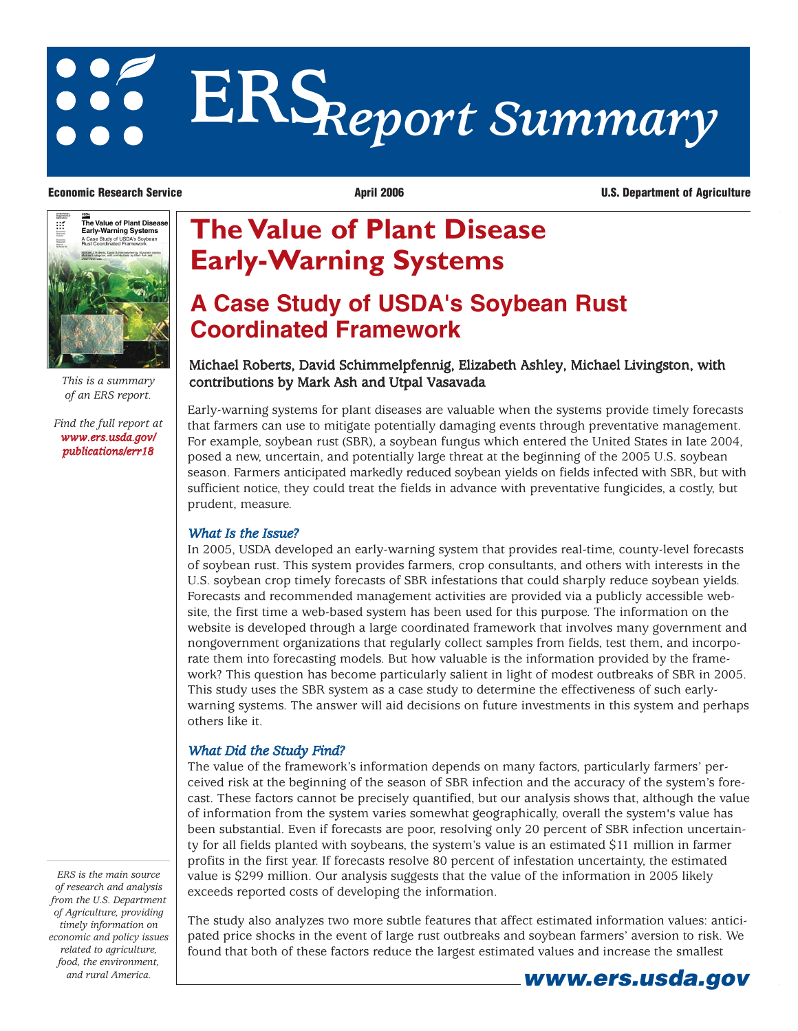# **ERS***Report Summary*

**Economic Research Service April 2006 April 2006 U.S. Department of Agriculture** 



*of an ERS report.*

*[Find the full report at](http://preview.ers.usda.gov/publications/err18) www.ers.usda.gov/ publications/err18*

# **The Value of Plant Disease Early-Warning Systems**

## **A Case Study of USDA's Soybean Rust Coordinated Framework**

### Michael Roberts, David Schimmelpfennig, Elizabeth Ashley, Michael Livingston, with *This is a summary* contributions by Mark Ash and Utpal Vasavada

Early-warning systems for plant diseases are valuable when the systems provide timely forecasts that farmers can use to mitigate potentially damaging events through preventative management. For example, soybean rust (SBR), a soybean fungus which entered the United States in late 2004, posed a new, uncertain, and potentially large threat at the beginning of the 2005 U.S. soybean season. Farmers anticipated markedly reduced soybean yields on fields infected with SBR, but with sufficient notice, they could treat the fields in advance with preventative fungicides, a costly, but prudent, measure.

#### *What Is the Issue?*

In 2005, USDA developed an early-warning system that provides real-time, county-level forecasts of soybean rust. This system provides farmers, crop consultants, and others with interests in the U.S. soybean crop timely forecasts of SBR infestations that could sharply reduce soybean yields. Forecasts and recommended management activities are provided via a publicly accessible website, the first time a web-based system has been used for this purpose. The information on the website is developed through a large coordinated framework that involves many government and nongovernment organizations that regularly collect samples from fields, test them, and incorporate them into forecasting models. But how valuable is the information provided by the framework? This question has become particularly salient in light of modest outbreaks of SBR in 2005. This study uses the SBR system as a case study to determine the effectiveness of such earlywarning systems. The answer will aid decisions on future investments in this system and perhaps others like it.

#### *What Did the Study Find?*

The value of the framework's information depends on many factors, particularly farmers' perceived risk at the beginning of the season of SBR infection and the accuracy of the system's forecast. These factors cannot be precisely quantified, but our analysis shows that, although the value of information from the system varies somewhat geographically, overall the system's value has been substantial. Even if forecasts are poor, resolving only 20 percent of SBR infection uncertainty for all fields planted with soybeans, the system's value is an estimated \$11 million in farmer profits in the first year. If forecasts resolve 80 percent of infestation uncertainty, the estimated value is \$299 million. Our analysis suggests that the value of the information in 2005 likely exceeds reported costs of developing the information.

The study also analyzes two more subtle features that affect estimated information values: anticipated price shocks in the event of large rust outbreaks and soybean farmers' aversion to risk. We found that both of these factors reduce the largest estimated values and increase the smallest

*ERS is the main source of research and analysis from the U.S. Department of Agriculture, providing timely information on economic and policy issues related to agriculture, food, the environment,*